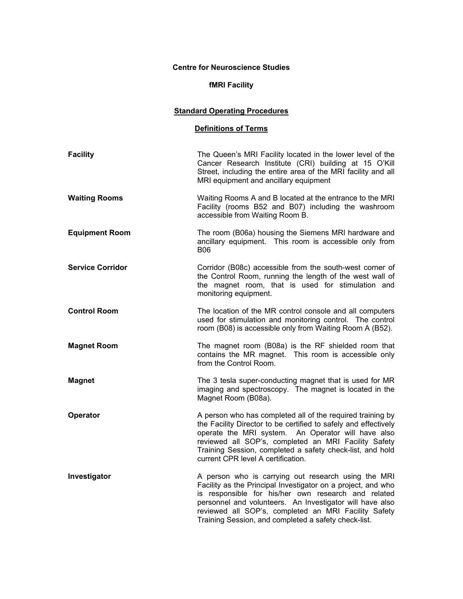## **Centre for Neuroscience Studies**

## **fMRI Facility**

## **Standard Operating Procedures**

## **Definitions of Terms**

| <b>Facility</b>         | The Queen's MRI Facility located in the lower level of the<br>Cancer Research Institute (CRI) building at 15 O'Kill<br>Street, including the entire area of the MRI facility and all<br>MRI equipment and ancillary equipment                                                                                                                          |
|-------------------------|--------------------------------------------------------------------------------------------------------------------------------------------------------------------------------------------------------------------------------------------------------------------------------------------------------------------------------------------------------|
| <b>Waiting Rooms</b>    | Waiting Rooms A and B located at the entrance to the MRI<br>Facility (rooms B52 and B07) including the washroom<br>accessible from Waiting Room B.                                                                                                                                                                                                     |
| <b>Equipment Room</b>   | The room (B06a) housing the Siemens MRI hardware and<br>ancillary equipment. This room is accessible only from<br><b>B06</b>                                                                                                                                                                                                                           |
| <b>Service Corridor</b> | Corridor (B08c) accessible from the south-west corner of<br>the Control Room, running the length of the west wall of<br>the magnet room, that is used for stimulation and<br>monitoring equipment.                                                                                                                                                     |
| <b>Control Room</b>     | The location of the MR control console and all computers<br>used for stimulation and monitoring control. The control<br>room (B08) is accessible only from Waiting Room A (B52).                                                                                                                                                                       |
| <b>Magnet Room</b>      | The magnet room (B08a) is the RF shielded room that<br>contains the MR magnet. This room is accessible only<br>from the Control Room.                                                                                                                                                                                                                  |
| <b>Magnet</b>           | The 3 tesla super-conducting magnet that is used for MR<br>imaging and spectroscopy. The magnet is located in the<br>Magnet Room (B08a).                                                                                                                                                                                                               |
| Operator                | A person who has completed all of the required training by<br>the Facility Director to be certified to safely and effectively<br>operate the MRI system. An Operator will have also<br>reviewed all SOP's, completed an MRI Facility Safety<br>Training Session, completed a safety check-list, and hold<br>current CPR level A certification.         |
| Investigator            | A person who is carrying out research using the MRI<br>Facility as the Principal Investigator on a project, and who<br>is responsible for his/her own research and related<br>personnel and volunteers. An Investigator will have also<br>reviewed all SOP's, completed an MRI Facility Safety<br>Training Session, and completed a safety check-list. |